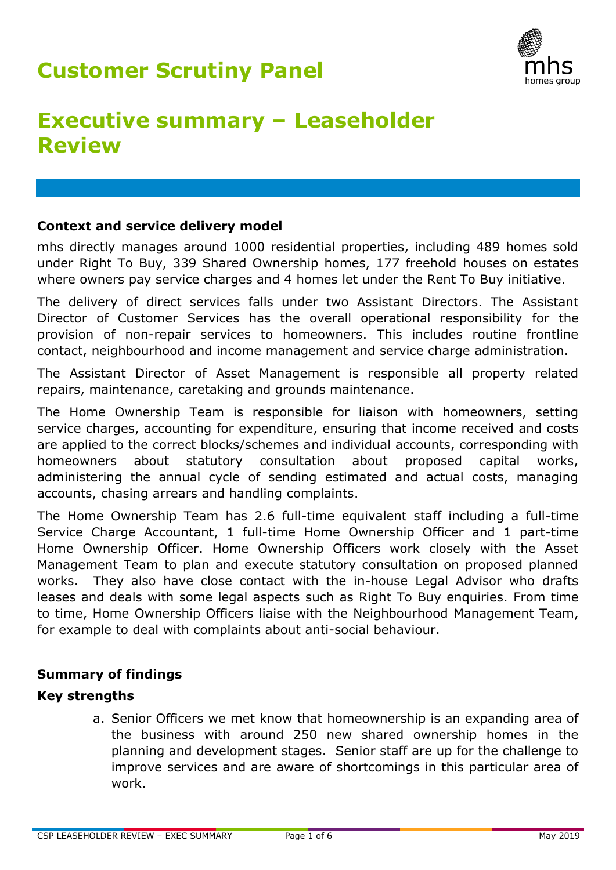

# **Executive summary – Leaseholder Review**

### **Context and service delivery model**

mhs directly manages around 1000 residential properties, including 489 homes sold under Right To Buy, 339 Shared Ownership homes, 177 freehold houses on estates where owners pay service charges and 4 homes let under the Rent To Buy initiative.

The delivery of direct services falls under two Assistant Directors. The Assistant Director of Customer Services has the overall operational responsibility for the provision of non-repair services to homeowners. This includes routine frontline contact, neighbourhood and income management and service charge administration.

The Assistant Director of Asset Management is responsible all property related repairs, maintenance, caretaking and grounds maintenance.

The Home Ownership Team is responsible for liaison with homeowners, setting service charges, accounting for expenditure, ensuring that income received and costs are applied to the correct blocks/schemes and individual accounts, corresponding with homeowners about statutory consultation about proposed capital works, administering the annual cycle of sending estimated and actual costs, managing accounts, chasing arrears and handling complaints.

The Home Ownership Team has 2.6 full-time equivalent staff including a full-time Service Charge Accountant, 1 full-time Home Ownership Officer and 1 part-time Home Ownership Officer. Home Ownership Officers work closely with the Asset Management Team to plan and execute statutory consultation on proposed planned works. They also have close contact with the in-house Legal Advisor who drafts leases and deals with some legal aspects such as Right To Buy enquiries. From time to time, Home Ownership Officers liaise with the Neighbourhood Management Team, for example to deal with complaints about anti-social behaviour.

### **Summary of findings**

### **Key strengths**

a. Senior Officers we met know that homeownership is an expanding area of the business with around 250 new shared ownership homes in the planning and development stages. Senior staff are up for the challenge to improve services and are aware of shortcomings in this particular area of work.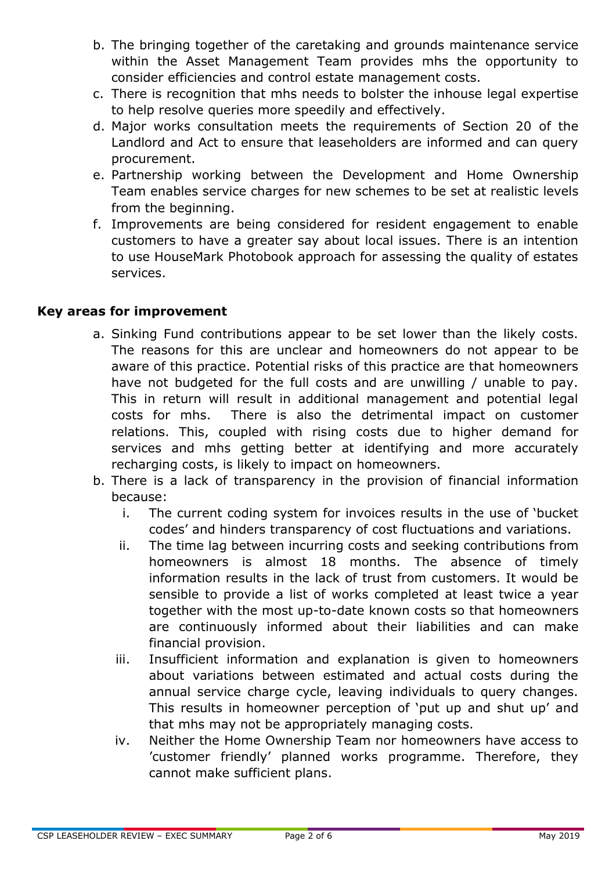- b. The bringing together of the caretaking and grounds maintenance service within the Asset Management Team provides mhs the opportunity to consider efficiencies and control estate management costs.
- c. There is recognition that mhs needs to bolster the inhouse legal expertise to help resolve queries more speedily and effectively.
- d. Major works consultation meets the requirements of Section 20 of the Landlord and Act to ensure that leaseholders are informed and can query procurement.
- e. Partnership working between the Development and Home Ownership Team enables service charges for new schemes to be set at realistic levels from the beginning.
- f. Improvements are being considered for resident engagement to enable customers to have a greater say about local issues. There is an intention to use HouseMark Photobook approach for assessing the quality of estates services.

### **Key areas for improvement**

- a. Sinking Fund contributions appear to be set lower than the likely costs. The reasons for this are unclear and homeowners do not appear to be aware of this practice. Potential risks of this practice are that homeowners have not budgeted for the full costs and are unwilling / unable to pay. This in return will result in additional management and potential legal costs for mhs. There is also the detrimental impact on customer relations. This, coupled with rising costs due to higher demand for services and mhs getting better at identifying and more accurately recharging costs, is likely to impact on homeowners.
- b. There is a lack of transparency in the provision of financial information because:
	- i. The current coding system for invoices results in the use of 'bucket codes' and hinders transparency of cost fluctuations and variations.
	- ii. The time lag between incurring costs and seeking contributions from homeowners is almost 18 months. The absence of timely information results in the lack of trust from customers. It would be sensible to provide a list of works completed at least twice a year together with the most up-to-date known costs so that homeowners are continuously informed about their liabilities and can make financial provision.
	- iii. Insufficient information and explanation is given to homeowners about variations between estimated and actual costs during the annual service charge cycle, leaving individuals to query changes. This results in homeowner perception of 'put up and shut up' and that mhs may not be appropriately managing costs.
	- iv. Neither the Home Ownership Team nor homeowners have access to 'customer friendly' planned works programme. Therefore, they cannot make sufficient plans.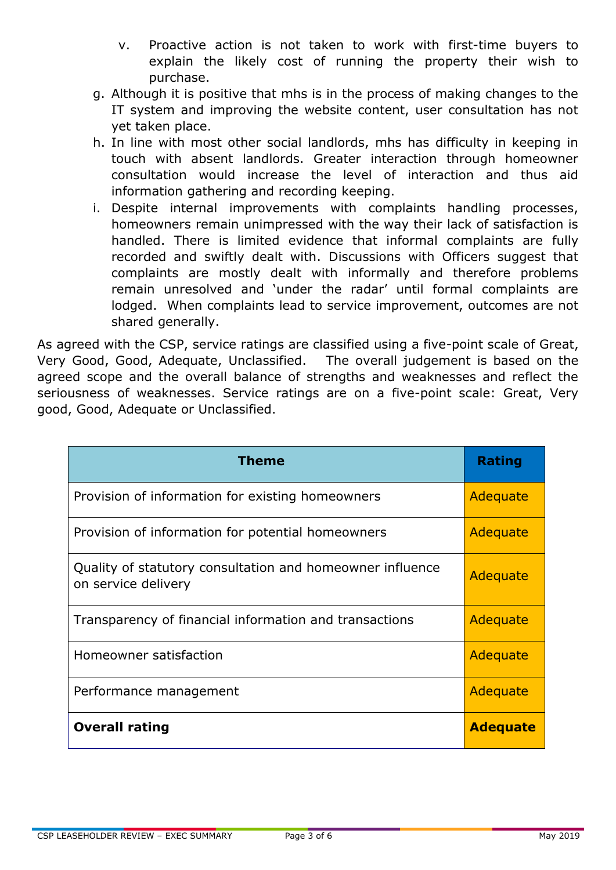- v. Proactive action is not taken to work with first-time buyers to explain the likely cost of running the property their wish to purchase.
- g. Although it is positive that mhs is in the process of making changes to the IT system and improving the website content, user consultation has not yet taken place.
- h. In line with most other social landlords, mhs has difficulty in keeping in touch with absent landlords. Greater interaction through homeowner consultation would increase the level of interaction and thus aid information gathering and recording keeping.
- i. Despite internal improvements with complaints handling processes, homeowners remain unimpressed with the way their lack of satisfaction is handled. There is limited evidence that informal complaints are fully recorded and swiftly dealt with. Discussions with Officers suggest that complaints are mostly dealt with informally and therefore problems remain unresolved and 'under the radar' until formal complaints are lodged. When complaints lead to service improvement, outcomes are not shared generally.

As agreed with the CSP, service ratings are classified using a five-point scale of Great, Very Good, Good, Adequate, Unclassified. The overall judgement is based on the agreed scope and the overall balance of strengths and weaknesses and reflect the seriousness of weaknesses. Service ratings are on a five-point scale: Great, Very good, Good, Adequate or Unclassified.

| <b>Theme</b>                                                                     | <b>Rating</b>   |
|----------------------------------------------------------------------------------|-----------------|
| Provision of information for existing homeowners                                 | Adequate        |
| Provision of information for potential homeowners                                | Adequate        |
| Quality of statutory consultation and homeowner influence<br>on service delivery | Adequate        |
| Transparency of financial information and transactions                           | Adequate        |
| Homeowner satisfaction                                                           | Adequate        |
| Performance management                                                           | Adequate        |
| <b>Overall rating</b>                                                            | <b>Adequate</b> |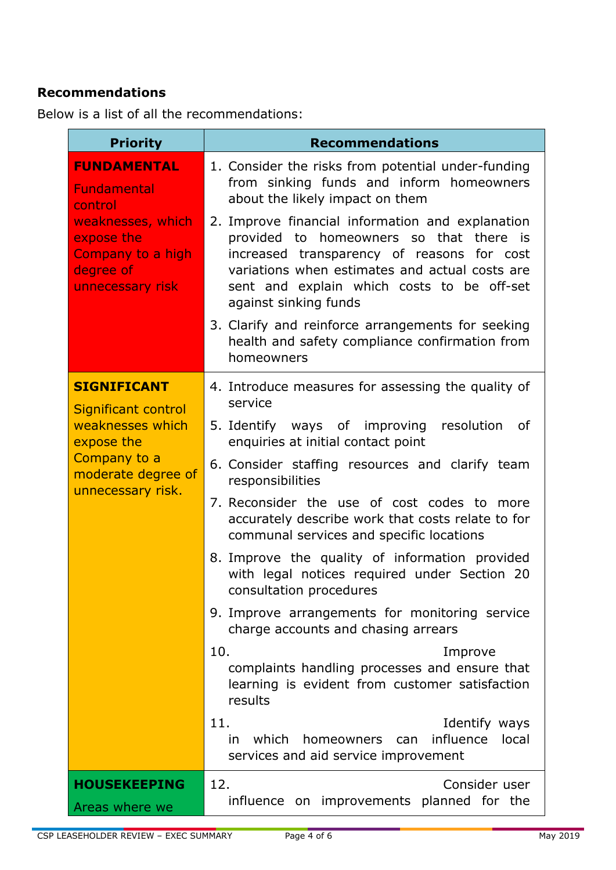## **Recommendations**

Below is a list of all the recommendations:

| <b>Priority</b>                                                                                                                              | <b>Recommendations</b>                                                                                                                                                                                                                                                |
|----------------------------------------------------------------------------------------------------------------------------------------------|-----------------------------------------------------------------------------------------------------------------------------------------------------------------------------------------------------------------------------------------------------------------------|
| <b>FUNDAMENTAL</b><br><b>Fundamental</b><br>control<br>weaknesses, which<br>expose the<br>Company to a high<br>degree of<br>unnecessary risk | 1. Consider the risks from potential under-funding<br>from sinking funds and inform homeowners<br>about the likely impact on them                                                                                                                                     |
|                                                                                                                                              | 2. Improve financial information and explanation<br>homeowners so that there is<br>provided to<br>increased transparency of reasons for cost<br>variations when estimates and actual costs are<br>sent and explain which costs to be off-set<br>against sinking funds |
|                                                                                                                                              | 3. Clarify and reinforce arrangements for seeking<br>health and safety compliance confirmation from<br>homeowners                                                                                                                                                     |
| <b>SIGNIFICANT</b><br>Significant control<br>weaknesses which<br>expose the<br>Company to a<br>moderate degree of<br>unnecessary risk.       | 4. Introduce measures for assessing the quality of<br>service                                                                                                                                                                                                         |
|                                                                                                                                              | 5. Identify ways of improving resolution<br>0f<br>enquiries at initial contact point                                                                                                                                                                                  |
|                                                                                                                                              | 6. Consider staffing resources and clarify team<br>responsibilities                                                                                                                                                                                                   |
|                                                                                                                                              | 7. Reconsider the use of cost codes to more<br>accurately describe work that costs relate to for<br>communal services and specific locations                                                                                                                          |
|                                                                                                                                              | 8. Improve the quality of information provided<br>with legal notices required under Section 20<br>consultation procedures                                                                                                                                             |
|                                                                                                                                              | 9. Improve arrangements for monitoring service<br>charge accounts and chasing arrears                                                                                                                                                                                 |
|                                                                                                                                              | 10.<br>Improve<br>complaints handling processes and ensure that<br>learning is evident from customer satisfaction<br>results                                                                                                                                          |
|                                                                                                                                              | 11.<br>Identify ways<br>influence<br>which<br>homeowners<br>local<br>in.<br>can<br>services and aid service improvement                                                                                                                                               |
| <b>HOUSEKEEPING</b><br>Areas where we                                                                                                        | 12.<br>Consider user<br>influence on improvements planned for the                                                                                                                                                                                                     |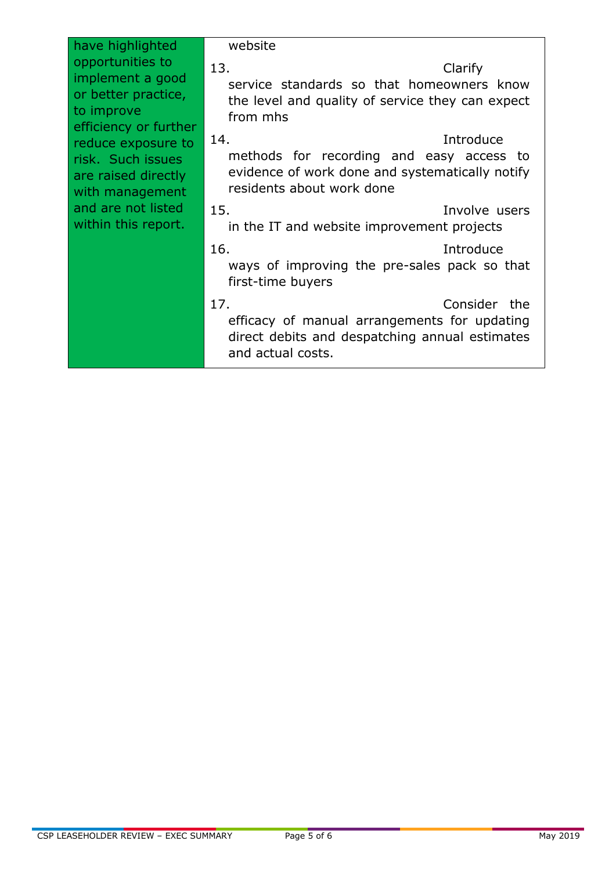| have highlighted<br>opportunities to<br>implement a good<br>or better practice,<br>to improve<br>efficiency or further<br>reduce exposure to<br>risk. Such issues<br>are raised directly<br>with management<br>and are not listed<br>within this report. | website<br>13.<br>Clarify<br>service standards so that homeowners know<br>the level and quality of service they can expect<br>from mhs       |
|----------------------------------------------------------------------------------------------------------------------------------------------------------------------------------------------------------------------------------------------------------|----------------------------------------------------------------------------------------------------------------------------------------------|
|                                                                                                                                                                                                                                                          | Introduce<br>14.<br>methods for recording and easy access to<br>evidence of work done and systematically notify<br>residents about work done |
|                                                                                                                                                                                                                                                          | 15.<br>Involve users<br>in the IT and website improvement projects                                                                           |
|                                                                                                                                                                                                                                                          | 16.<br>Introduce<br>ways of improving the pre-sales pack so that<br>first-time buyers                                                        |
|                                                                                                                                                                                                                                                          | 17.<br>Consider the<br>efficacy of manual arrangements for updating<br>direct debits and despatching annual estimates<br>and actual costs.   |